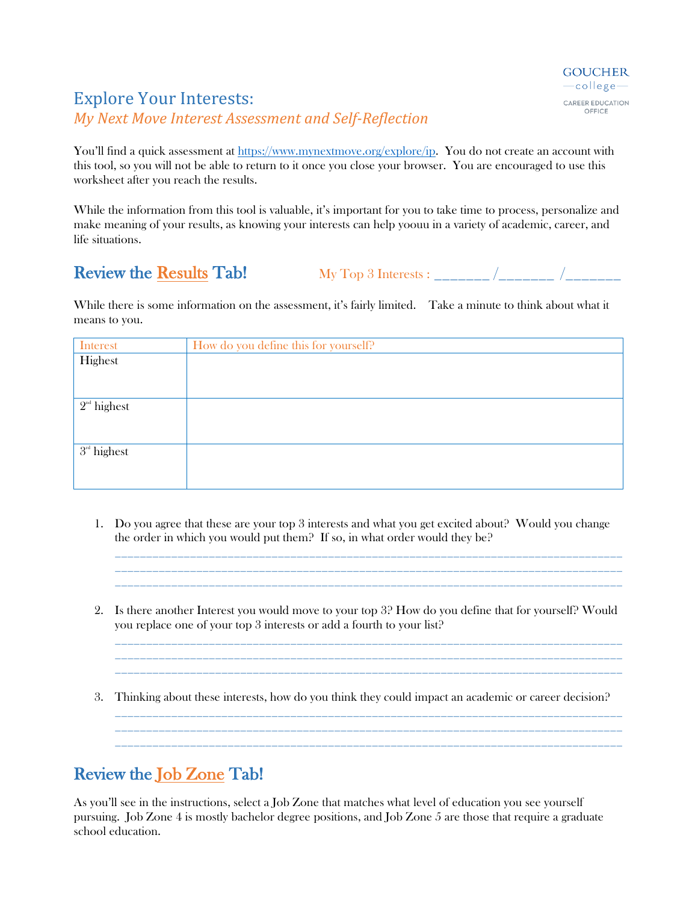#### **GOUCHER** -college-CAREER EDUCATION OFFICE

# **Explore Your Interests:** *My Next Move Interest Assessment and Self-Reflection*

You'll find a quick assessment at https://www.mynextmove.org/explore/ip. You do not create an account with this tool, so you will not be able to return to it once you close your browser. You are encouraged to use this worksheet after you reach the results.

While the information from this tool is valuable, it's important for you to take time to process, personalize and make meaning of your results, as knowing your interests can help yoouu in a variety of academic, career, and life situations.

### Review the Results Tab! My Top 3 Interests : \_\_\_\_\_\_ /\_\_\_\_\_\_\_ /\_\_\_\_\_\_\_

While there is some information on the assessment, it's fairly limited. Take a minute to think about what it means to you.

| Interest      | How do you define this for yourself? |
|---------------|--------------------------------------|
| Highest       |                                      |
|               |                                      |
|               |                                      |
| $2nd$ highest |                                      |
|               |                                      |
|               |                                      |
| $3rd$ highest |                                      |
|               |                                      |
|               |                                      |

1. Do you agree that these are your top 3 interests and what you get excited about? Would you change the order in which you would put them? If so, in what order would they be?

\_\_\_\_\_\_\_\_\_\_\_\_\_\_\_\_\_\_\_\_\_\_\_\_\_\_\_\_\_\_\_\_\_\_\_\_\_\_\_\_\_\_\_\_\_\_\_\_\_\_\_\_\_\_\_\_\_\_\_\_\_\_\_\_\_\_\_\_\_\_\_\_\_\_\_\_\_\_\_\_\_ \_\_\_\_\_\_\_\_\_\_\_\_\_\_\_\_\_\_\_\_\_\_\_\_\_\_\_\_\_\_\_\_\_\_\_\_\_\_\_\_\_\_\_\_\_\_\_\_\_\_\_\_\_\_\_\_\_\_\_\_\_\_\_\_\_\_\_\_\_\_\_\_\_\_\_\_\_\_\_\_\_ \_\_\_\_\_\_\_\_\_\_\_\_\_\_\_\_\_\_\_\_\_\_\_\_\_\_\_\_\_\_\_\_\_\_\_\_\_\_\_\_\_\_\_\_\_\_\_\_\_\_\_\_\_\_\_\_\_\_\_\_\_\_\_\_\_\_\_\_\_\_\_\_\_\_\_\_\_\_\_\_\_

2. Is there another Interest you would move to your top 3? How do you define that for yourself? Would you replace one of your top 3 interests or add a fourth to your list?

\_\_\_\_\_\_\_\_\_\_\_\_\_\_\_\_\_\_\_\_\_\_\_\_\_\_\_\_\_\_\_\_\_\_\_\_\_\_\_\_\_\_\_\_\_\_\_\_\_\_\_\_\_\_\_\_\_\_\_\_\_\_\_\_\_\_\_\_\_\_\_\_\_\_\_\_\_\_\_\_\_ \_\_\_\_\_\_\_\_\_\_\_\_\_\_\_\_\_\_\_\_\_\_\_\_\_\_\_\_\_\_\_\_\_\_\_\_\_\_\_\_\_\_\_\_\_\_\_\_\_\_\_\_\_\_\_\_\_\_\_\_\_\_\_\_\_\_\_\_\_\_\_\_\_\_\_\_\_\_\_\_\_ \_\_\_\_\_\_\_\_\_\_\_\_\_\_\_\_\_\_\_\_\_\_\_\_\_\_\_\_\_\_\_\_\_\_\_\_\_\_\_\_\_\_\_\_\_\_\_\_\_\_\_\_\_\_\_\_\_\_\_\_\_\_\_\_\_\_\_\_\_\_\_\_\_\_\_\_\_\_\_\_\_

\_\_\_\_\_\_\_\_\_\_\_\_\_\_\_\_\_\_\_\_\_\_\_\_\_\_\_\_\_\_\_\_\_\_\_\_\_\_\_\_\_\_\_\_\_\_\_\_\_\_\_\_\_\_\_\_\_\_\_\_\_\_\_\_\_\_\_\_\_\_\_\_\_\_\_\_\_\_\_\_\_ \_\_\_\_\_\_\_\_\_\_\_\_\_\_\_\_\_\_\_\_\_\_\_\_\_\_\_\_\_\_\_\_\_\_\_\_\_\_\_\_\_\_\_\_\_\_\_\_\_\_\_\_\_\_\_\_\_\_\_\_\_\_\_\_\_\_\_\_\_\_\_\_\_\_\_\_\_\_\_\_\_ \_\_\_\_\_\_\_\_\_\_\_\_\_\_\_\_\_\_\_\_\_\_\_\_\_\_\_\_\_\_\_\_\_\_\_\_\_\_\_\_\_\_\_\_\_\_\_\_\_\_\_\_\_\_\_\_\_\_\_\_\_\_\_\_\_\_\_\_\_\_\_\_\_\_\_\_\_\_\_\_\_

3. Thinking about these interests, how do you think they could impact an academic or career decision?

# Review the Job Zone Tab!

As you'll see in the instructions, select a Job Zone that matches what level of education you see yourself pursuing. Job Zone 4 is mostly bachelor degree positions, and Job Zone 5 are those that require a graduate school education.